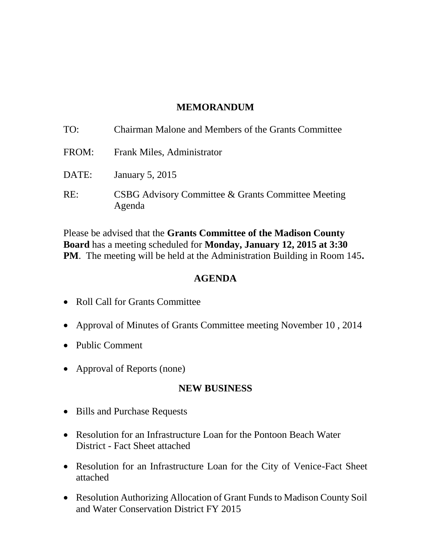### **MEMORANDUM**

| TO:   | Chairman Malone and Members of the Grants Committee          |
|-------|--------------------------------------------------------------|
| FROM: | Frank Miles, Administrator                                   |
| DATE: | January 5, 2015                                              |
| RE:   | CSBG Advisory Committee & Grants Committee Meeting<br>Agenda |

Please be advised that the **Grants Committee of the Madison County Board** has a meeting scheduled for **Monday, January 12, 2015 at 3:30 PM**. The meeting will be held at the Administration Building in Room 145**.** 

### **AGENDA**

- Roll Call for Grants Committee
- Approval of Minutes of Grants Committee meeting November 10 , 2014
- Public Comment
- Approval of Reports (none)

#### **NEW BUSINESS**

- Bills and Purchase Requests
- Resolution for an Infrastructure Loan for the Pontoon Beach Water District - Fact Sheet attached
- Resolution for an Infrastructure Loan for the City of Venice-Fact Sheet attached
- Resolution Authorizing Allocation of Grant Funds to Madison County Soil and Water Conservation District FY 2015